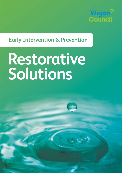

# **Early Intervention & Prevention**

# **Restorative Solutions**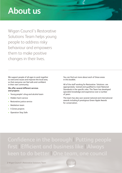# **About us**

Wigan Council's Restorative Solutions Team helps young people to address risky behaviour and empowers them to make positive changes in their lives.

We support people of all ages to work together to overcome issues and improve the local area, so that everyone can feel safe and confident in their own community.

### **We offer several different services and projects:**

- Young people's drug and alcohol team
- Hidden harm service
- Restorative justice service
- Mediation team
- X Zones projects
- Operation Stay Safe

You can find out more about each of these areas in this booklet.

All of the staff working for Restorative Solutions are appropriately trained and qualified to meet National Standards in the specific roles. The Team has developed specialist knowledge and experience over a number of years.

The team has also won several national and international awards including 6 prestigious Green Apple Awards for conservation.

# **Confidence in the borough | Putting people** first | Efficient and business like | Always keen to do better | One team, one council

**2** Wigan Council's Restorative Solutions Team

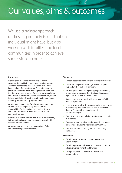# Our values, aims & outcomes

We use a holistic approach, addressing not only issues that an individual might have, but also working with families and local communities in order to achieve successful outcomes.

### **Our values:**

We value the many positive benefits of working in partnership and link closely to many other services, whenever appropriate. We work closely with Wigan Council's Early Intervention and Prevention team, in particular the Youth Voice and Engagement team and the Gateway Locality teams, Greater Manchester Police and Greater Manchester Fire and Rescue Service, Wigan Leisure and Culture Trust, the health sector and many voluntary and community organisations.

We are non-judgemental. We do not apply blame but instead focus on empowering people to take responsibility for their actions and seek restorative outcomes. We aim to achieve the best results for everyone involved.

We work in a person-centred way. We are not directive, but support and encourage the people we work with to make positive choices.

We encourage young people to participate fully and to help shape service delivery.

#### **We aim to:**

- Support people to make positive choices in their lives.
- Create a more peaceful borough, where people can live and work together in harmony.
- Encourage everyone, both young people and adults, to take pride in the area they live in and to respect, repair and improve their environment.
- Support everyone we work with to be able to fulfil their own potential.
- Help those we work with to understand the importance of addressing problematic issues and to empower them to feel confident enough to make voluntary changes.
- Promote a culture of early intervention and prevention at all stages.
- Empower young people to make amends and repair any damage caused to victims or communities.
- Educate and support young people around risky behaviour.

#### **Outcomes:**

- To reduce first time entrants into the criminal justice system.
- To reduce persistent absence and improve access to education, employment and training.
- To improve public confidence in the criminal justice system.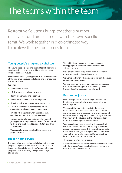# The teams within the team

Restorative Solutions brings together a number of services and projects, each with their own specific remit. We work together in a co-ordinated way to achieve the best outcomes for all.

## **Young people's drug and alcohol team**

The young people's drug and alcohol team helps young people aged 19 and under to address risky behaviour linked to substance misuse.

We also work with all young people to improve awareness of the risks of using drugs and alcohol and to encourage them to stay safe.

### **We offer:**

- Assessments of need.
- 1-2-1 sessions and talking therapies.
- Health assessments and screening.
- Advice and guidance on risk management.
- Links to medical professionals when necessary.
- Access to the detox at home service, where appropriate, and under medical supervision.
- Links to other agencies when needed so that co-ordinated care plans can be developed.
- Training sessions for professionals who work with young people to help raise awareness of issues linked to drugs and alcohol and to support staff to deliver interventions.
- Workshops for young people at local events and project sessions.

### **Hidden harm service**

Our hidden harm service is closely linked to the young people's drug and alcohol team as we also deal with issues linked to substance misuse. We support young people who are affected by their parents' drug or alcohol use.

The hidden harm service also supports parents into appropriate treatment to address their own substance misuse.

We work to deter or delay involvement in substance misuse and break cycles of dependency.

We work closely with other services to sustain change and ensure harm is not hidden.

We ultimately aim to make sure that the young person is safe but we also support the whole family to help them address the issues and move forward.

## **Restorative justice**

Restorative processes help to bring those affected by crime and those who have been responsible for crime, together.

Victims get the chance to explain to the person responsible for the offence what the impact of their crime has been and to get answers to any unanswered questions, such as 'why did you do it?'. They can explain their views on the situation to the offender and can see that the offender is genuinely remorseful.

Young people can meet or speak to the person their crime has affected and whom they may have never properly considered before. This means they can gain a real understanding of the impact their actions have had on the victim, take responsibility for what they have done and help to make amends.

The process is often very effective.

Victims often report an increased ability to come to terms with the offence. Young people often gain insight and seek to address their behaviour.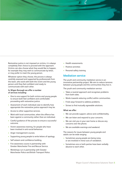Restorative justice is not imposed on victims, it is always completely their choice to proceed with the approach. Victims can also choose what they would like to happen, for example they may wish to communicate by letter, or may prefer to meet the young person.

Whatever option they choose, the process is always carefully assessed and supported by professionals from the team, who work with both the victim and the young person until they feel confident and ready to communicate with each other.

### **In Wigan Borough we offer a number of services including:**

- One to one support for both victims and young people to ensure both feel confident and comfortable proceeding with restorative justice.
- Assessment of each individual case to identify how appropriate the restorative justice approach may be.
- Access to other supportive services.
- Work with local communities, when the offence has been against a community rather than an individual.
- Careful guidance of the process to ensure a successful outcome.
- Victim awareness training, for people who have been involved in anti-social behaviour.
- Anger management courses.
- Supporting young people to write letters of apology.
- Self esteem and confidence building.
- Fire awareness course in partnership with Greater Manchester Fire and Rescue Service.
- Workshops run in partnership with Greater Manchester Police and British Transport Police.
- Health assessments.
- Positive activities
- Personal safety training

### **Mediation service**

The youth and community mediation service is an innovative partnership project. We aim to reduce tensions between young people and the communities they live in.

The youth and community mediation service:

- Takes a neutral approach and recognises problems from both sides.
- Works towards reducing conflict within communities.
- Finds ways forward to address problems.
- Strives to find mutually agreeable solutions.

#### **What we offer:**

- We can provide support, advice and confidentiality.
- We can listen and respond to your concerns.
- We can visit you in your own home or discuss any concerns over the phone.
- We are available evenings and weekend.

The reasons for issues between young people and adults can be wide ranging:

- Sometimes young people are being noisy or are involved in minor acts of vandalism.
- Sometimes one or both parties have been verbally abusive to each other.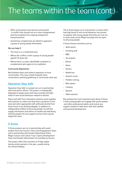# The teams within the team (cont.)

- Often, both parties have become entrenched in conflict that started out as a minor disagreement and has escalated into ongoing antagonism and provocation.
- Sometimes complainants are afraid to approach a group of young people themselves.

### **We can help if:**

- The issue is in a residential area.
- Where the conflict is with a group of young people aged 8-19 years old.
- Where there is a clear, identifiable complaint or complainants who agree to try mediation.

### **Community Reparation:**

We facilitate direct and indirect reparation to local communities. This may include footpath work, conservation, painting gardening or community clean-ups.

### **Operation Stay Safe**

Operation Stay Safe is a project we run in partnership with local police officers. The project is strategically deployed to target areas that have recently had high levels of anti-social behaviour related to alcohol.

Police and staff from restorative solutions work together with partners to make sure they have a presence in the area and when appropriate will confiscate alcohol from those found to be drinking illegally. In addition to safeguarding children and young people, we will also supply information and advice on health and well being and link people into any support services that may be helpful for them.

### **X Zones**

X Zones projects are run in partnership with youth workers from the Council's Voice and Engagement Team and in partnership with Greater Manchester Police, Wigan Leisure and Culture Trust's Sports Development Team and Greater Manchester Fire and Rescue Service.

The project offers free activities on Friday nights during certain periods in the year, usually during the school holidays.

The X Zones began as an intervention in areas which had high levels of anti-social behaviour but proved so popular with young people that they are now run in most areas across Wigan borough and are open to all young people.

X Zones feature activities such as:

- Multi-sports
- Climbing wall
- BBQ
- Art projects
- **Dance**
- Music
- Drama
- Media bus
- Assault course
- Problem solving
- **Bike repairs**
- **Cooking**
- Quizzes
- Skate sessions

But perhaps the most important part about X Zones is that young people can engage with youth workers and other professional adults, and receive any support needed to help them with their welfare and personal development.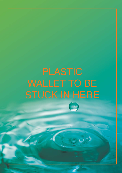# WALLET TO BE STUCK IN HERE